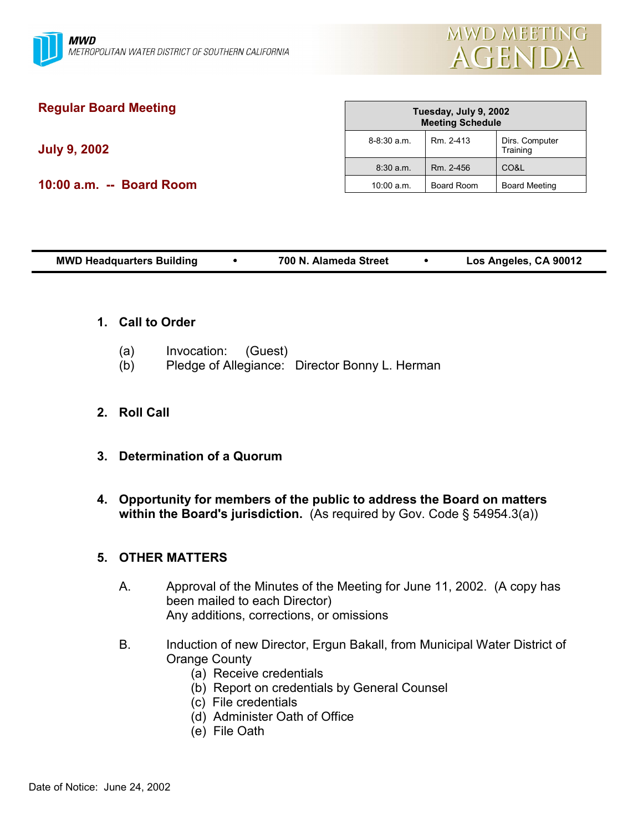

# **Regular Board Meeting**

**July 9, 2002**

**10:00 a.m. -- Board Room**

| Tuesday, July 9, 2002<br><b>Meeting Schedule</b> |                   |                            |  |  |  |
|--------------------------------------------------|-------------------|----------------------------|--|--|--|
| $8 - 8:30$ a.m.                                  | Rm 2-413          | Dirs. Computer<br>Training |  |  |  |
| 8:30 a.m.                                        | Rm. 2-456         | CO&L                       |  |  |  |
| $10:00$ a.m.                                     | <b>Board Room</b> | <b>Board Meeting</b>       |  |  |  |

| <b>MWD Headquarters Building</b> |  | 700 N. Alameda Street |  | Los Angeles, CA 90012 |
|----------------------------------|--|-----------------------|--|-----------------------|
|----------------------------------|--|-----------------------|--|-----------------------|

- **1. Call to Order**
	- (a) Invocation: (Guest)
	- (b) Pledge of Allegiance: Director Bonny L. Herman
- **2. Roll Call**
- **3. Determination of a Quorum**
- **4. Opportunity for members of the public to address the Board on matters within the Board's jurisdiction.** (As required by Gov. Code § 54954.3(a))

### **5. OTHER MATTERS**

- A. Approval of the Minutes of the Meeting for June 11, 2002. (A copy has been mailed to each Director) Any additions, corrections, or omissions
- B. Induction of new Director, Ergun Bakall, from Municipal Water District of Orange County
	- (a) Receive credentials
	- (b) Report on credentials by General Counsel
	- (c) File credentials
	- (d) Administer Oath of Office
	- (e) File Oath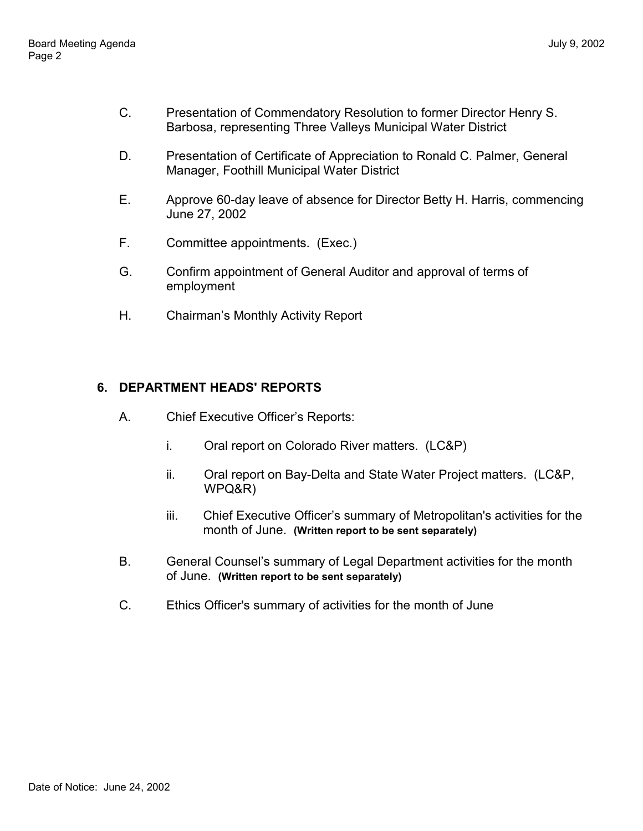- C. Presentation of Commendatory Resolution to former Director Henry S. Barbosa, representing Three Valleys Municipal Water District
- D. Presentation of Certificate of Appreciation to Ronald C. Palmer, General Manager, Foothill Municipal Water District
- E. Approve 60-day leave of absence for Director Betty H. Harris, commencing June 27, 2002
- F. Committee appointments. (Exec.)
- G. Confirm appointment of General Auditor and approval of terms of employment
- H. Chairman's Monthly Activity Report

## **6. DEPARTMENT HEADS' REPORTS**

- A. Chief Executive Officerís Reports:
	- i. Oral report on Colorado River matters. (LC&P)
	- ii. Oral report on Bay-Delta and State Water Project matters. (LC&P, WPQ&R)
	- iii. Chief Executive Officerís summary of Metropolitan's activities for the month of June. **(Written report to be sent separately)**
- B. General Counsel's summary of Legal Department activities for the month of June. **(Written report to be sent separately)**
- C. Ethics Officer's summary of activities for the month of June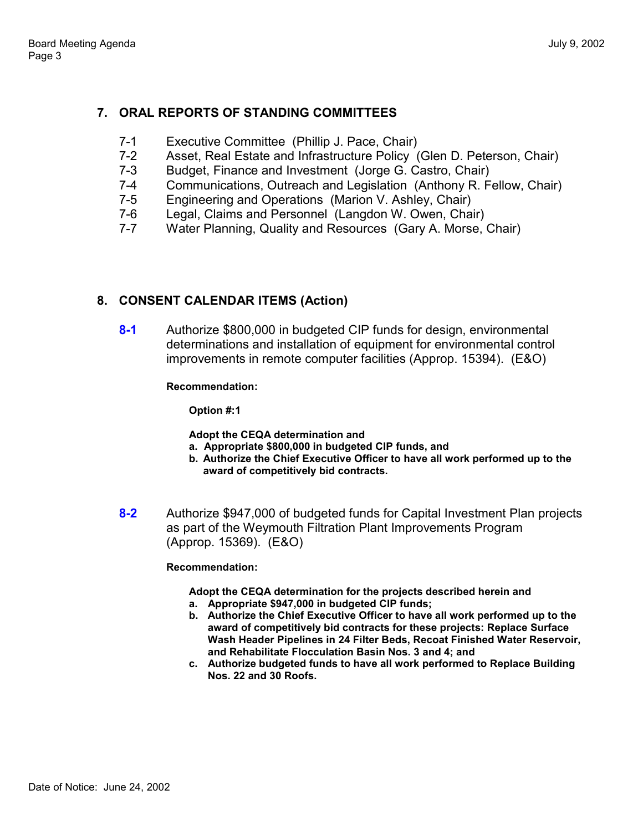### **7. ORAL REPORTS OF STANDING COMMITTEES**

- 7-1 Executive Committee (Phillip J. Pace, Chair)
- 7-2 Asset, Real Estate and Infrastructure Policy (Glen D. Peterson, Chair)<br>7-3 Budget Finance and Investment (Jorge G. Castro, Chair)
- Budget, Finance and Investment (Jorge G. Castro, Chair)
- 7-4 Communications, Outreach and Legislation (Anthony R. Fellow, Chair)
- 7-5 Engineering and Operations (Marion V. Ashley, Chair)
- 7-6 Legal, Claims and Personnel (Langdon W. Owen, Chair)
- 7-7 Water Planning, Quality and Resources (Gary A. Morse, Chair)

### **8. CONSENT CALENDAR ITEMS (Action)**

**8-1** Authorize \$800,000 in budgeted CIP funds for design, environmental determinations and installation of equipment for environmental control improvements in remote computer facilities (Approp. 15394). (E&O)

**Recommendation:**

**Option #:1**

**Adopt the CEQA determination and**

- **a. Appropriate \$800,000 in budgeted CIP funds, and**
- **b. Authorize the Chief Executive Officer to have all work performed up to the award of competitively bid contracts.**
- **8-2** Authorize \$947,000 of budgeted funds for Capital Investment Plan projects as part of the Weymouth Filtration Plant Improvements Program (Approp. 15369). (E&O)

### **Recommendation:**

**Adopt the CEQA determination for the projects described herein and**

- **a. Appropriate \$947,000 in budgeted CIP funds;**
- **b. Authorize the Chief Executive Officer to have all work performed up to the award of competitively bid contracts for these projects: Replace Surface Wash Header Pipelines in 24 Filter Beds, Recoat Finished Water Reservoir, and Rehabilitate Flocculation Basin Nos. 3 and 4; and**
- **c. Authorize budgeted funds to have all work performed to Replace Building Nos. 22 and 30 Roofs.**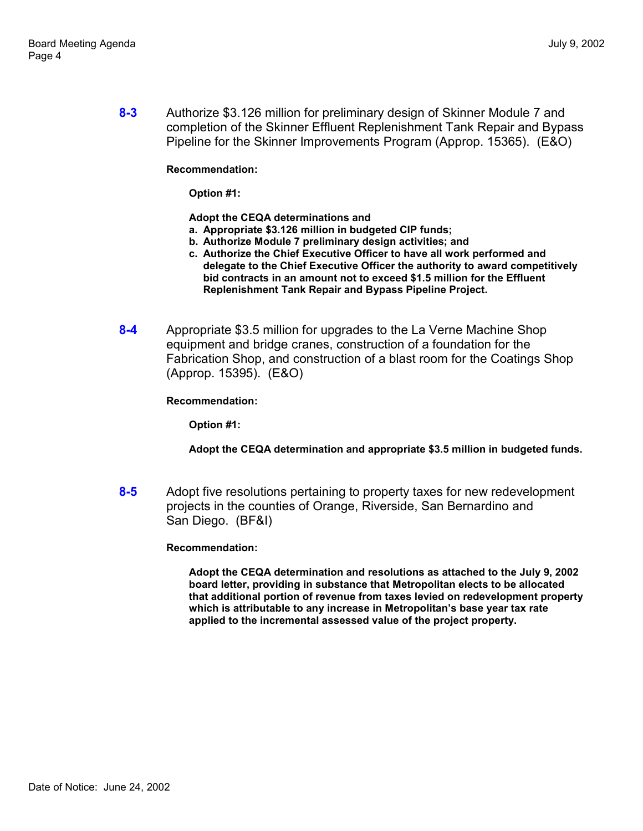**8-3** Authorize \$3.126 million for preliminary design of Skinner Module 7 and completion of the Skinner Effluent Replenishment Tank Repair and Bypass Pipeline for the Skinner Improvements Program (Approp. 15365). (E&O)

**Recommendation:**

**Option #1:**

**Adopt the CEQA determinations and**

- **a. Appropriate \$3.126 million in budgeted CIP funds;**
- **b. Authorize Module 7 preliminary design activities; and**
- **c. Authorize the Chief Executive Officer to have all work performed and delegate to the Chief Executive Officer the authority to award competitively bid contracts in an amount not to exceed \$1.5 million for the Effluent Replenishment Tank Repair and Bypass Pipeline Project.**
- **8-4** Appropriate \$3.5 million for upgrades to the La Verne Machine Shop equipment and bridge cranes, construction of a foundation for the Fabrication Shop, and construction of a blast room for the Coatings Shop (Approp. 15395). (E&O)

**Recommendation:**

**Option #1:**

**Adopt the CEQA determination and appropriate \$3.5 million in budgeted funds.**

**8-5** Adopt five resolutions pertaining to property taxes for new redevelopment projects in the counties of Orange, Riverside, San Bernardino and San Diego. (BF&I)

**Recommendation:**

**Adopt the CEQA determination and resolutions as attached to the July 9, 2002 board letter, providing in substance that Metropolitan elects to be allocated that additional portion of revenue from taxes levied on redevelopment property which is attributable to any increase in Metropolitanís base year tax rate applied to the incremental assessed value of the project property.**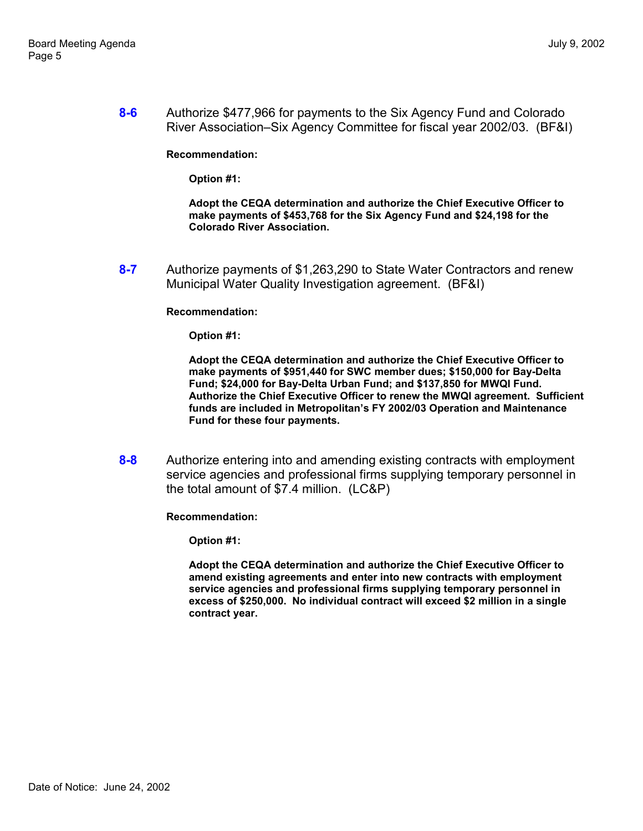**8-6** Authorize \$477,966 for payments to the Six Agency Fund and Colorado River Association–Six Agency Committee for fiscal year 2002/03. (BF&I)

**Recommendation:**

**Option #1:**

**Adopt the CEQA determination and authorize the Chief Executive Officer to make payments of \$453,768 for the Six Agency Fund and \$24,198 for the Colorado River Association.**

**8-7** Authorize payments of \$1,263,290 to State Water Contractors and renew Municipal Water Quality Investigation agreement. (BF&I)

**Recommendation:**

**Option #1:**

**Adopt the CEQA determination and authorize the Chief Executive Officer to make payments of \$951,440 for SWC member dues; \$150,000 for Bay-Delta Fund; \$24,000 for Bay-Delta Urban Fund; and \$137,850 for MWQI Fund. Authorize the Chief Executive Officer to renew the MWQI agreement. Sufficient funds are included in Metropolitanís FY 2002/03 Operation and Maintenance Fund for these four payments.**

**8-8** Authorize entering into and amending existing contracts with employment service agencies and professional firms supplying temporary personnel in the total amount of \$7.4 million. (LC&P)

**Recommendation:**

**Option #1:**

**Adopt the CEQA determination and authorize the Chief Executive Officer to amend existing agreements and enter into new contracts with employment service agencies and professional firms supplying temporary personnel in excess of \$250,000. No individual contract will exceed \$2 million in a single contract year.**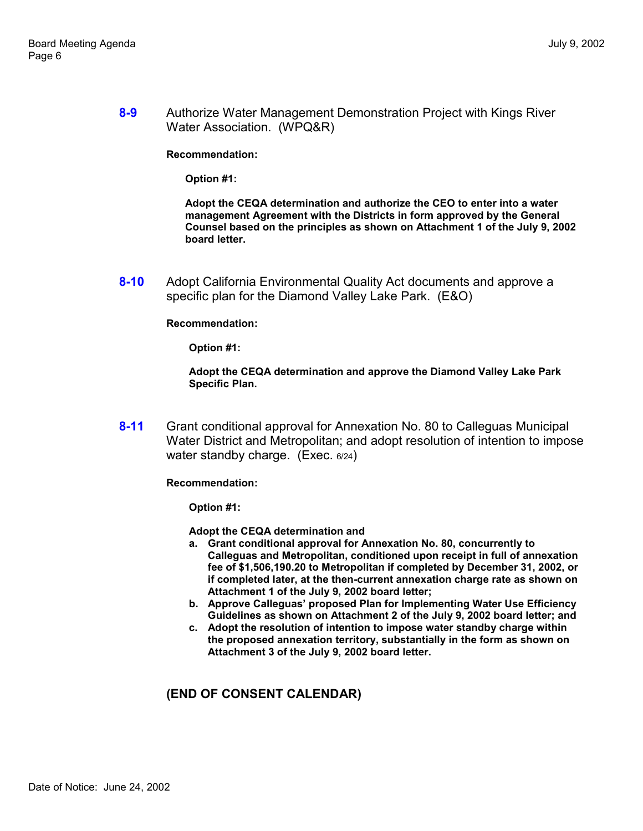**8-9** Authorize Water Management Demonstration Project with Kings River Water Association. (WPQ&R)

**Recommendation:**

**Option #1:**

**Adopt the CEQA determination and authorize the CEO to enter into a water management Agreement with the Districts in form approved by the General Counsel based on the principles as shown on Attachment 1 of the July 9, 2002 board letter.**

**8-10** Adopt California Environmental Quality Act documents and approve a specific plan for the Diamond Valley Lake Park. (E&O)

**Recommendation:**

**Option #1:**

**Adopt the CEQA determination and approve the Diamond Valley Lake Park Specific Plan.**

**8-11** Grant conditional approval for Annexation No. 80 to Calleguas Municipal Water District and Metropolitan; and adopt resolution of intention to impose water standby charge. (Exec. 6/24)

**Recommendation:**

**Option #1:**

**Adopt the CEQA determination and**

- **a. Grant conditional approval for Annexation No. 80, concurrently to Calleguas and Metropolitan, conditioned upon receipt in full of annexation fee of \$1,506,190.20 to Metropolitan if completed by December 31, 2002, or if completed later, at the then-current annexation charge rate as shown on Attachment 1 of the July 9, 2002 board letter;**
- **b. Approve Calleguasí proposed Plan for Implementing Water Use Efficiency Guidelines as shown on Attachment 2 of the July 9, 2002 board letter; and**
- **c. Adopt the resolution of intention to impose water standby charge within the proposed annexation territory, substantially in the form as shown on Attachment 3 of the July 9, 2002 board letter.**

### **(END OF CONSENT CALENDAR)**